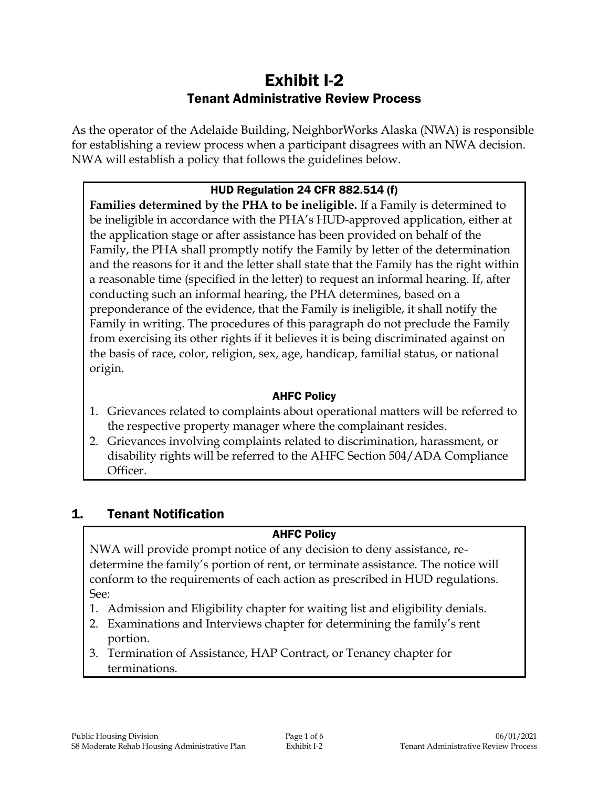# Exhibit I-2 Tenant Administrative Review Process

As the operator of the Adelaide Building, NeighborWorks Alaska (NWA) is responsible for establishing a review process when a participant disagrees with an NWA decision. NWA will establish a policy that follows the guidelines below.

### HUD Regulation 24 CFR 882.514 (f)

**Families determined by the PHA to be ineligible.** If a Family is determined to be ineligible in accordance with the PHA's HUD-approved application, either at the application stage or after assistance has been provided on behalf of the Family, the PHA shall promptly notify the Family by letter of the determination and the reasons for it and the letter shall state that the Family has the right within a reasonable time (specified in the letter) to request an informal hearing. If, after conducting such an informal hearing, the PHA determines, based on a preponderance of the evidence, that the Family is ineligible, it shall notify the Family in writing. The procedures of this paragraph do not preclude the Family from exercising its other rights if it believes it is being discriminated against on the basis of race, color, religion, sex, age, handicap, familial status, or national origin.

#### AHFC Policy

- 1. Grievances related to complaints about operational matters will be referred to the respective property manager where the complainant resides.
- 2. Grievances involving complaints related to discrimination, harassment, or disability rights will be referred to the AHFC Section 504/ADA Compliance Officer.

# 1. Tenant Notification

#### AHFC Policy

NWA will provide prompt notice of any decision to deny assistance, redetermine the family's portion of rent, or terminate assistance. The notice will conform to the requirements of each action as prescribed in HUD regulations. See:

- 1. Admission and Eligibility chapter for waiting list and eligibility denials.
- 2. Examinations and Interviews chapter for determining the family's rent portion.
- 3. Termination of Assistance, HAP Contract, or Tenancy chapter for terminations.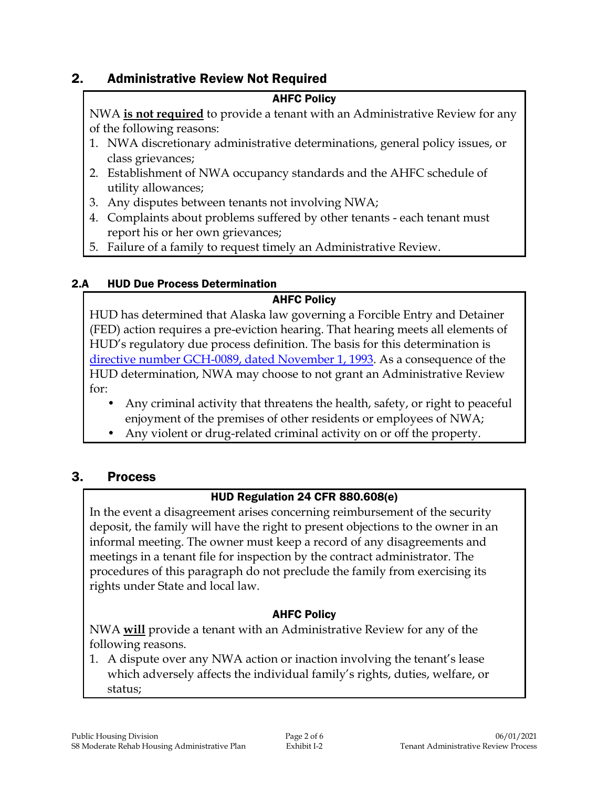# 2. Administrative Review Not Required

### AHFC Policy

NWA **is not required** to provide a tenant with an Administrative Review for any of the following reasons:

- 1. NWA discretionary administrative determinations, general policy issues, or class grievances;
- 2. Establishment of NWA occupancy standards and the AHFC schedule of utility allowances;
- 3. Any disputes between tenants not involving NWA;
- 4. Complaints about problems suffered by other tenants each tenant must report his or her own grievances;
- 5. Failure of a family to request timely an Administrative Review.

### 2.A HUD Due Process Determination

# AHFC Policy

HUD has determined that Alaska law governing a Forcible Entry and Detainer (FED) action requires a pre-eviction hearing. That hearing meets all elements of HUD's regulatory due process definition. The basis for this determination is [directive number GCH-0089, dated November 1, 1993.](https://intranet/download_file/18827/0) As a consequence of the HUD determination, NWA may choose to not grant an Administrative Review for:

- Any criminal activity that threatens the health, safety, or right to peaceful enjoyment of the premises of other residents or employees of NWA;
- Any violent or drug-related criminal activity on or off the property.

# 3. Process

# HUD Regulation 24 CFR 880.608(e)

In the event a disagreement arises concerning reimbursement of the security deposit, the family will have the right to present objections to the owner in an informal meeting. The owner must keep a record of any disagreements and meetings in a tenant file for inspection by the contract administrator. The procedures of this paragraph do not preclude the family from exercising its rights under State and local law.

### AHFC Policy

NWA **will** provide a tenant with an Administrative Review for any of the following reasons.

1. A dispute over any NWA action or inaction involving the tenant's lease which adversely affects the individual family's rights, duties, welfare, or status;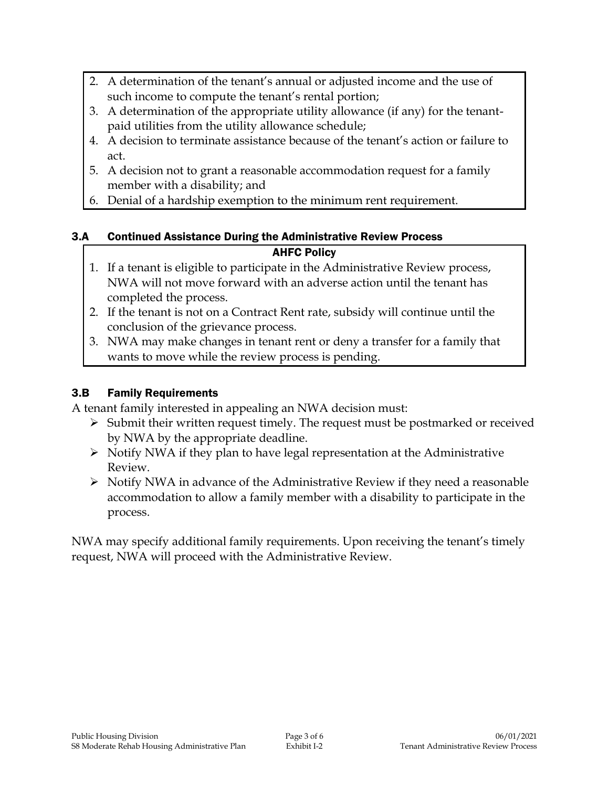- 2. A determination of the tenant's annual or adjusted income and the use of such income to compute the tenant's rental portion;
- 3. A determination of the appropriate utility allowance (if any) for the tenantpaid utilities from the utility allowance schedule;
- 4. A decision to terminate assistance because of the tenant's action or failure to act.
- 5. A decision not to grant a reasonable accommodation request for a family member with a disability; and
- 6. Denial of a hardship exemption to the minimum rent requirement.

### 3.A Continued Assistance During the Administrative Review Process AHFC Policy

- 1. If a tenant is eligible to participate in the Administrative Review process, NWA will not move forward with an adverse action until the tenant has completed the process.
- 2. If the tenant is not on a Contract Rent rate, subsidy will continue until the conclusion of the grievance process.
- 3. NWA may make changes in tenant rent or deny a transfer for a family that wants to move while the review process is pending.

# 3.B Family Requirements

A tenant family interested in appealing an NWA decision must:

- $\triangleright$  Submit their written request timely. The request must be postmarked or received by NWA by the appropriate deadline.
- $\triangleright$  Notify NWA if they plan to have legal representation at the Administrative Review.
- $\triangleright$  Notify NWA in advance of the Administrative Review if they need a reasonable accommodation to allow a family member with a disability to participate in the process.

NWA may specify additional family requirements. Upon receiving the tenant's timely request, NWA will proceed with the Administrative Review.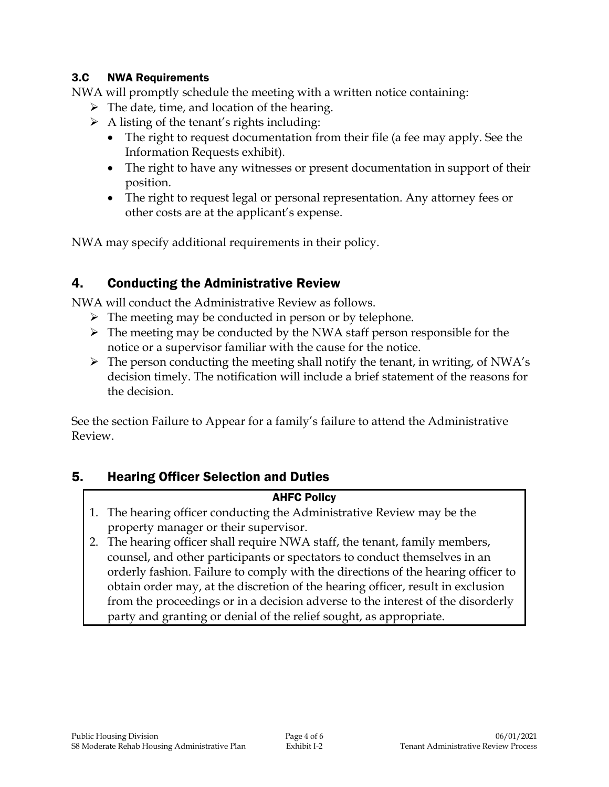### 3.C NWA Requirements

NWA will promptly schedule the meeting with a written notice containing:

- $\triangleright$  The date, time, and location of the hearing.
- $\triangleright$  A listing of the tenant's rights including:
	- The right to request documentation from their file (a fee may apply. See the Information Requests exhibit).
	- The right to have any witnesses or present documentation in support of their position.
	- The right to request legal or personal representation. Any attorney fees or other costs are at the applicant's expense.

NWA may specify additional requirements in their policy.

# 4. Conducting the Administrative Review

NWA will conduct the Administrative Review as follows.

- $\triangleright$  The meeting may be conducted in person or by telephone.
- $\triangleright$  The meeting may be conducted by the NWA staff person responsible for the notice or a supervisor familiar with the cause for the notice.
- $\triangleright$  The person conducting the meeting shall notify the tenant, in writing, of NWA's decision timely. The notification will include a brief statement of the reasons for the decision.

See the section Failure to Appear for a family's failure to attend the Administrative Review.

# 5. Hearing Officer Selection and Duties

# AHFC Policy

- 1. The hearing officer conducting the Administrative Review may be the property manager or their supervisor.
- 2. The hearing officer shall require NWA staff, the tenant, family members, counsel, and other participants or spectators to conduct themselves in an orderly fashion. Failure to comply with the directions of the hearing officer to obtain order may, at the discretion of the hearing officer, result in exclusion from the proceedings or in a decision adverse to the interest of the disorderly party and granting or denial of the relief sought, as appropriate.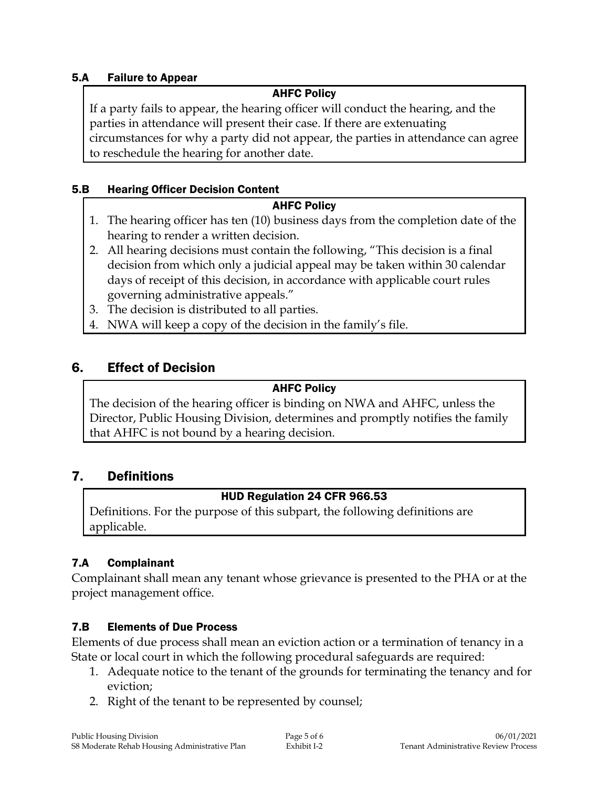### 5.A Failure to Appear

### AHFC Policy

If a party fails to appear, the hearing officer will conduct the hearing, and the parties in attendance will present their case. If there are extenuating circumstances for why a party did not appear, the parties in attendance can agree to reschedule the hearing for another date.

### 5.B Hearing Officer Decision Content

### AHFC Policy

- 1. The hearing officer has ten (10) business days from the completion date of the hearing to render a written decision.
- 2. All hearing decisions must contain the following, "This decision is a final decision from which only a judicial appeal may be taken within 30 calendar days of receipt of this decision, in accordance with applicable court rules governing administrative appeals."
- 3. The decision is distributed to all parties.
- 4. NWA will keep a copy of the decision in the family's file.

# 6. Effect of Decision

### AHFC Policy

The decision of the hearing officer is binding on NWA and AHFC, unless the Director, Public Housing Division, determines and promptly notifies the family that AHFC is not bound by a hearing decision.

# 7. Definitions

# HUD Regulation 24 CFR 966.53

Definitions. For the purpose of this subpart, the following definitions are applicable.

# 7.A Complainant

Complainant shall mean any tenant whose grievance is presented to the PHA or at the project management office.

# 7.B Elements of Due Process

Elements of due process shall mean an eviction action or a termination of tenancy in a State or local court in which the following procedural safeguards are required:

- 1. Adequate notice to the tenant of the grounds for terminating the tenancy and for eviction;
- 2. Right of the tenant to be represented by counsel;